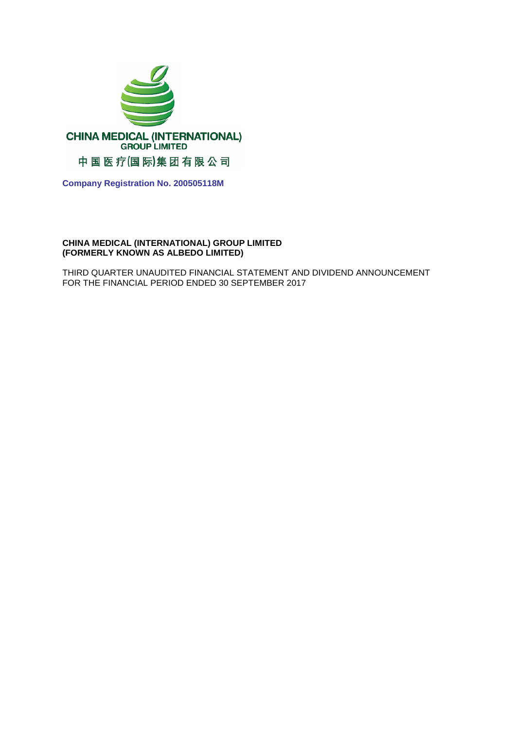

**Company Registration No. 200505118M**

## **CHINA MEDICAL (INTERNATIONAL) GROUP LIMITED (FORMERLY KNOWN AS ALBEDO LIMITED)**

THIRD QUARTER UNAUDITED FINANCIAL STATEMENT AND DIVIDEND ANNOUNCEMENT FOR THE FINANCIAL PERIOD ENDED 30 SEPTEMBER 2017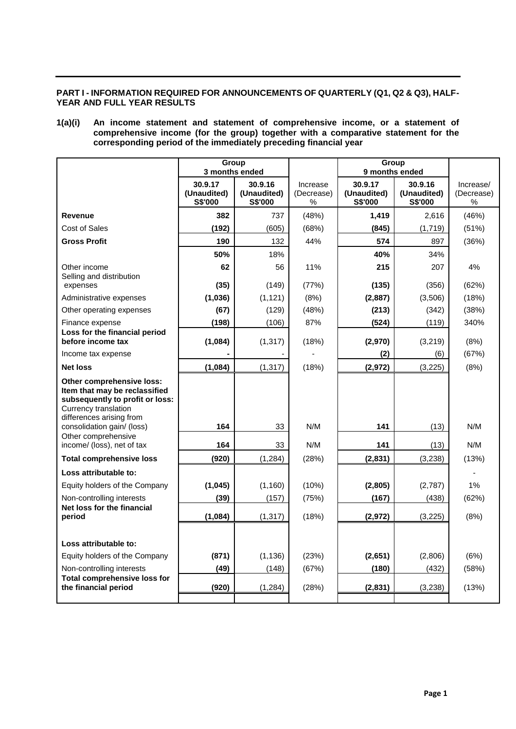## **PART I - INFORMATION REQUIRED FOR ANNOUNCEMENTS OF QUARTERLY (Q1, Q2 & Q3), HALF-YEAR AND FULL YEAR RESULTS**

### **1(a)(i) An income statement and statement of comprehensive income, or a statement of comprehensive income (for the group) together with a comparative statement for the corresponding period of the immediately preceding financial year**

|                                                                                                                                                          | Group<br>3 months ended                  |                                   |                             | Group<br>9 months ended           |                                   |                              |
|----------------------------------------------------------------------------------------------------------------------------------------------------------|------------------------------------------|-----------------------------------|-----------------------------|-----------------------------------|-----------------------------------|------------------------------|
|                                                                                                                                                          | 30.9.17<br>(Unaudited)<br><b>S\$'000</b> | 30.9.16<br>(Unaudited)<br>S\$'000 | Increase<br>(Decrease)<br>% | 30.9.17<br>(Unaudited)<br>S\$'000 | 30.9.16<br>(Unaudited)<br>S\$'000 | Increase/<br>(Decrease)<br>% |
| <b>Revenue</b>                                                                                                                                           | 382                                      | 737                               | (48%)                       | 1,419                             | 2,616                             | (46%)                        |
| Cost of Sales                                                                                                                                            | (192)                                    | (605)                             | (68%)                       | (845)                             | (1,719)                           | (51%)                        |
| <b>Gross Profit</b>                                                                                                                                      | 190                                      | 132                               | 44%                         | 574                               | 897                               | (36%)                        |
|                                                                                                                                                          | 50%                                      | 18%                               |                             | 40%                               | 34%                               |                              |
| Other income                                                                                                                                             | 62                                       | 56                                | 11%                         | 215                               | 207                               | 4%                           |
| Selling and distribution<br>expenses                                                                                                                     | (35)                                     | (149)                             | (77%)                       | (135)                             | (356)                             | (62%)                        |
| Administrative expenses                                                                                                                                  | (1,036)                                  | (1, 121)                          | (8%)                        | (2,887)                           | (3,506)                           | (18%)                        |
| Other operating expenses                                                                                                                                 | (67)                                     | (129)                             | (48%)                       | (213)                             | (342)                             | (38%)                        |
| Finance expense                                                                                                                                          | (198)                                    | (106)                             | 87%                         | (524)                             | (119)                             | 340%                         |
| Loss for the financial period<br>before income tax                                                                                                       | (1,084)                                  | (1, 317)                          | (18%)                       | (2,970)                           | (3,219)                           | (8%)                         |
| Income tax expense                                                                                                                                       |                                          |                                   |                             | (2)                               | (6)                               | (67%)                        |
| <b>Net loss</b>                                                                                                                                          | (1,084)                                  | (1, 317)                          | (18%)                       | (2,972)                           | (3, 225)                          | (8%)                         |
| Other comprehensive loss:<br>Item that may be reclassified<br>subsequently to profit or loss:<br><b>Currency translation</b><br>differences arising from |                                          |                                   |                             |                                   |                                   |                              |
| consolidation gain/ (loss)<br>Other comprehensive                                                                                                        | 164                                      | 33                                | N/M                         | 141                               | (13)                              | N/M                          |
| income/ (loss), net of tax                                                                                                                               | 164                                      | 33                                | N/M                         | 141                               | (13)                              | N/M                          |
| <b>Total comprehensive loss</b>                                                                                                                          | (920)                                    | (1, 284)                          | (28%)                       | (2,831)                           | (3,238)                           | (13%)                        |
| Loss attributable to:                                                                                                                                    |                                          |                                   |                             |                                   |                                   |                              |
| Equity holders of the Company                                                                                                                            | (1,045)                                  | (1, 160)                          | (10%)                       | (2,805)                           | (2,787)                           | 1%                           |
| Non-controlling interests                                                                                                                                | (39)                                     | (157)                             | (75%)                       | (167)                             | (438)                             | (62%)                        |
| Net loss for the financial<br>period                                                                                                                     | (1,084)                                  | (1, 317)                          | (18%)                       | (2,972)                           | (3,225)                           | (8%)                         |
| Loss attributable to:                                                                                                                                    |                                          |                                   |                             |                                   |                                   |                              |
| Equity holders of the Company                                                                                                                            | (871)                                    | (1, 136)                          | (23%)                       | (2,651)                           | (2,806)                           | (6%)                         |
| Non-controlling interests                                                                                                                                | (49)                                     | (148)                             | (67%)                       | (180)                             | (432)                             | (58%)                        |
| <b>Total comprehensive loss for</b><br>the financial period                                                                                              | (920)                                    | (1,284)                           | (28%)                       | (2,831)                           | (3,238)                           | (13%)                        |
|                                                                                                                                                          |                                          |                                   |                             |                                   |                                   |                              |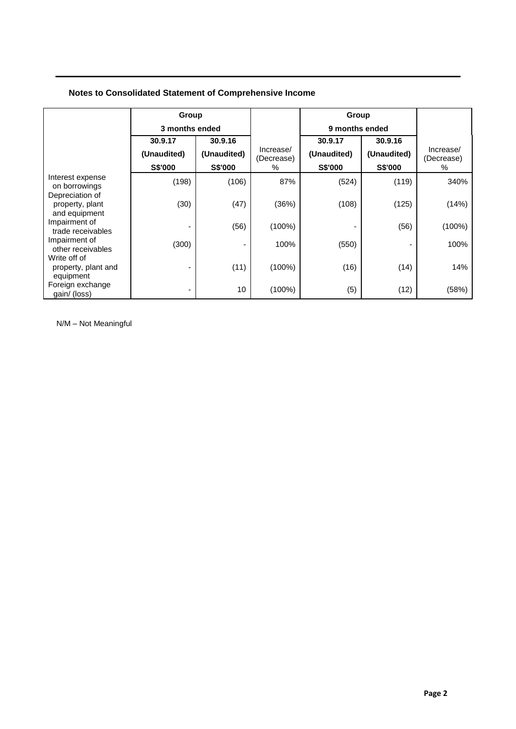## **Notes to Consolidated Statement of Comprehensive Income**

|                                                     | Group          |             | Group                   |                |             |                         |
|-----------------------------------------------------|----------------|-------------|-------------------------|----------------|-------------|-------------------------|
|                                                     | 3 months ended |             |                         | 9 months ended |             |                         |
|                                                     | 30.9.17        | 30.9.16     |                         | 30.9.17        | 30.9.16     |                         |
|                                                     | (Unaudited)    | (Unaudited) | Increase/<br>(Decrease) | (Unaudited)    | (Unaudited) | Increase/<br>(Decrease) |
|                                                     | S\$'000        | S\$'000     | $\%$                    | S\$'000        | S\$'000     | %                       |
| Interest expense<br>on borrowings                   | (198)          | (106)       | 87%                     | (524)          | (119)       | 340%                    |
| Depreciation of<br>property, plant<br>and equipment | (30)           | (47)        | (36%)                   | (108)          | (125)       | (14%)                   |
| Impairment of<br>trade receivables                  |                | (56)        | $(100\%)$               |                | (56)        | $(100\%)$               |
| Impairment of<br>other receivables                  | (300)          |             | 100%                    | (550)          | ۰           | 100%                    |
| Write off of<br>property, plant and<br>equipment    |                | (11)        | $(100\%)$               | (16)           | (14)        | 14%                     |
| Foreign exchange<br>gain/ (loss)                    | -              | 10          | $(100\%)$               | (5)            | (12)        | (58%)                   |

N/M – Not Meaningful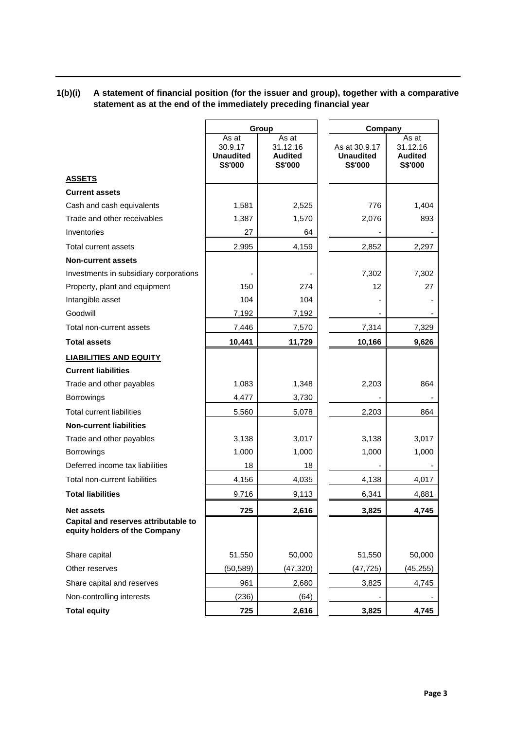# **1(b)(i) A statement of financial position (for the issuer and group), together with a comparative statement as at the end of the immediately preceding financial year**

|                                                                       | Group                                           |                                                |                                              | Company                                        |  |  |
|-----------------------------------------------------------------------|-------------------------------------------------|------------------------------------------------|----------------------------------------------|------------------------------------------------|--|--|
|                                                                       | As at<br>30.9.17<br><b>Unaudited</b><br>S\$'000 | As at<br>31.12.16<br><b>Audited</b><br>S\$'000 | As at 30.9.17<br><b>Unaudited</b><br>S\$'000 | As at<br>31.12.16<br><b>Audited</b><br>S\$'000 |  |  |
| <b>ASSETS</b>                                                         |                                                 |                                                |                                              |                                                |  |  |
| <b>Current assets</b>                                                 |                                                 |                                                |                                              |                                                |  |  |
| Cash and cash equivalents                                             | 1,581                                           | 2,525                                          | 776                                          | 1,404                                          |  |  |
| Trade and other receivables                                           | 1,387                                           | 1,570                                          | 2,076                                        | 893                                            |  |  |
| Inventories                                                           | 27                                              | 64                                             |                                              |                                                |  |  |
| Total current assets                                                  | 2,995                                           | 4,159                                          | 2,852                                        | 2,297                                          |  |  |
| <b>Non-current assets</b>                                             |                                                 |                                                |                                              |                                                |  |  |
| Investments in subsidiary corporations                                |                                                 |                                                | 7,302                                        | 7,302                                          |  |  |
| Property, plant and equipment                                         | 150                                             | 274                                            | 12                                           | 27                                             |  |  |
| Intangible asset                                                      | 104                                             | 104                                            |                                              |                                                |  |  |
| Goodwill                                                              | 7,192                                           | 7,192                                          |                                              |                                                |  |  |
| Total non-current assets                                              | 7,446                                           | 7,570                                          | 7,314                                        | 7,329                                          |  |  |
| <b>Total assets</b>                                                   | 10,441                                          | 11,729                                         | 10,166                                       | 9,626                                          |  |  |
| <b>LIABILITIES AND EQUITY</b>                                         |                                                 |                                                |                                              |                                                |  |  |
| <b>Current liabilities</b>                                            |                                                 |                                                |                                              |                                                |  |  |
| Trade and other payables                                              | 1,083                                           | 1,348                                          | 2,203                                        | 864                                            |  |  |
| Borrowings                                                            | 4,477                                           | 3,730                                          |                                              |                                                |  |  |
| <b>Total current liabilities</b>                                      | 5,560                                           | 5,078                                          | 2,203                                        | 864                                            |  |  |
| <b>Non-current liabilities</b>                                        |                                                 |                                                |                                              |                                                |  |  |
| Trade and other payables                                              | 3,138                                           | 3,017                                          | 3,138                                        | 3,017                                          |  |  |
| Borrowings                                                            | 1,000                                           | 1,000                                          | 1,000                                        | 1,000                                          |  |  |
| Deferred income tax liabilities                                       | 18                                              | 18                                             |                                              |                                                |  |  |
| Total non-current liabilities                                         | 4,156                                           | 4,035                                          | 4,138                                        | 4,017                                          |  |  |
| <b>Total liabilities</b>                                              | 9,716                                           | 9,113                                          | 6,341                                        | 4,881                                          |  |  |
| <b>Net assets</b>                                                     | 725                                             | 2,616                                          | 3,825                                        | 4,745                                          |  |  |
| Capital and reserves attributable to<br>equity holders of the Company |                                                 |                                                |                                              |                                                |  |  |
| Share capital                                                         | 51,550                                          | 50,000                                         | 51,550                                       | 50,000                                         |  |  |
| Other reserves                                                        | (50, 589)                                       | (47, 320)                                      | (47, 725)                                    | (45, 255)                                      |  |  |
| Share capital and reserves                                            | 961                                             | 2,680                                          | 3,825                                        | 4,745                                          |  |  |
| Non-controlling interests                                             | (236)                                           | (64)                                           |                                              |                                                |  |  |
| <b>Total equity</b>                                                   | 725                                             | 2,616                                          | 3,825                                        | 4,745                                          |  |  |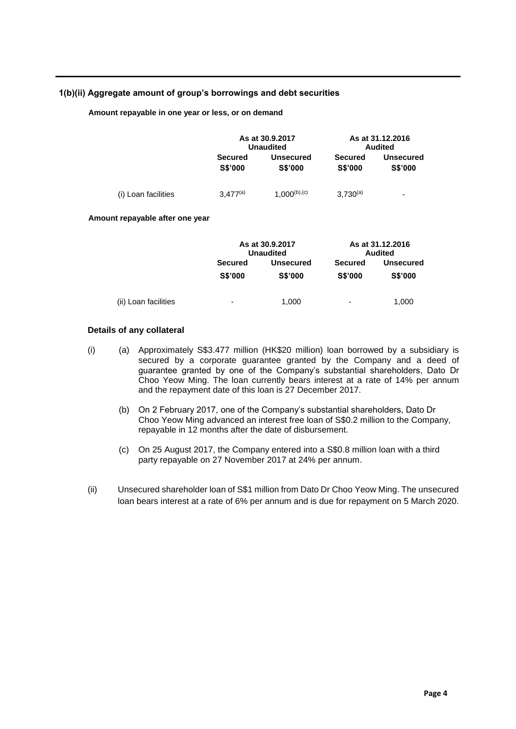## **1(b)(ii) Aggregate amount of group's borrowings and debt securities**

#### **Amount repayable in one year or less, or on demand**

|                     |                                  | As at 30.9.2017<br><b>Unaudited</b> |                                  | As at 31.12.2016<br><b>Audited</b> |
|---------------------|----------------------------------|-------------------------------------|----------------------------------|------------------------------------|
|                     | <b>Secured</b><br><b>S\$'000</b> | <b>Unsecured</b><br><b>S\$'000</b>  | <b>Secured</b><br><b>S\$'000</b> | <b>Unsecured</b><br><b>S\$'000</b> |
| (i) Loan facilities | $3.477^{(a)}$                    | $1,000^{(b),(c)}$                   | $3.730^{(a)}$                    | $\overline{\phantom{0}}$           |

#### **Amount repayable after one year**

|                      |                                  | As at 30.9.2017<br><b>Unaudited</b> |                                  | As at 31.12.2016<br><b>Audited</b> |  |
|----------------------|----------------------------------|-------------------------------------|----------------------------------|------------------------------------|--|
|                      | <b>Secured</b><br><b>S\$'000</b> | <b>Unsecured</b><br><b>S\$'000</b>  | <b>Secured</b><br><b>S\$'000</b> | <b>Unsecured</b><br><b>S\$'000</b> |  |
| (ii) Loan facilities | -                                | 1,000                               | $\overline{\phantom{0}}$         | 1,000                              |  |

## **Details of any collateral**

- (i) (a) Approximately S\$3.477 million (HK\$20 million) loan borrowed by a subsidiary is secured by a corporate guarantee granted by the Company and a deed of guarantee granted by one of the Company's substantial shareholders, Dato Dr Choo Yeow Ming. The loan currently bears interest at a rate of 14% per annum and the repayment date of this loan is 27 December 2017.
	- (b) On 2 February 2017, one of the Company's substantial shareholders, Dato Dr Choo Yeow Ming advanced an interest free loan of S\$0.2 million to the Company, repayable in 12 months after the date of disbursement.
	- (c) On 25 August 2017, the Company entered into a S\$0.8 million loan with a third party repayable on 27 November 2017 at 24% per annum.
- (ii) Unsecured shareholder loan of S\$1 million from Dato Dr Choo Yeow Ming. The unsecured loan bears interest at a rate of 6% per annum and is due for repayment on 5 March 2020.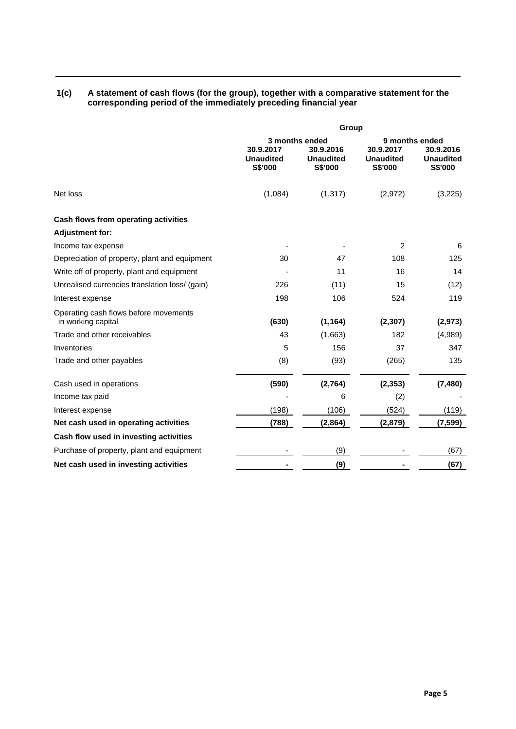#### **1(c) A statement of cash flows (for the group), together with a comparative statement for the corresponding period of the immediately preceding financial year**

|                                                             | Group                         |                                                 |                                                 |                               |  |  |
|-------------------------------------------------------------|-------------------------------|-------------------------------------------------|-------------------------------------------------|-------------------------------|--|--|
|                                                             | 30.9.2017<br><b>Unaudited</b> | 3 months ended<br>30.9.2016<br><b>Unaudited</b> | 9 months ended<br>30.9.2017<br><b>Unaudited</b> | 30.9.2016<br><b>Unaudited</b> |  |  |
|                                                             | <b>S\$'000</b>                | <b>S\$'000</b>                                  | <b>S\$'000</b>                                  | <b>S\$'000</b>                |  |  |
| Net loss                                                    | (1,084)                       | (1, 317)                                        | (2,972)                                         | (3,225)                       |  |  |
| Cash flows from operating activities                        |                               |                                                 |                                                 |                               |  |  |
| <b>Adjustment for:</b>                                      |                               |                                                 |                                                 |                               |  |  |
| Income tax expense                                          |                               |                                                 | 2                                               | 6                             |  |  |
| Depreciation of property, plant and equipment               | 30                            | 47                                              | 108                                             | 125                           |  |  |
| Write off of property, plant and equipment                  |                               | 11                                              | 16                                              | 14                            |  |  |
| Unrealised currencies translation loss/ (gain)              | 226                           | (11)                                            | 15                                              | (12)                          |  |  |
| Interest expense                                            | 198                           | 106                                             | 524                                             | 119                           |  |  |
| Operating cash flows before movements<br>in working capital | (630)                         | (1, 164)                                        | (2, 307)                                        | (2, 973)                      |  |  |
| Trade and other receivables                                 | 43                            | (1,663)                                         | 182                                             | (4,989)                       |  |  |
| Inventories                                                 | 5                             | 156                                             | 37                                              | 347                           |  |  |
| Trade and other payables                                    | (8)                           | (93)                                            | (265)                                           | 135                           |  |  |
| Cash used in operations                                     | (590)                         | (2,764)                                         | (2, 353)                                        | (7, 480)                      |  |  |
| Income tax paid                                             |                               | 6                                               | (2)                                             |                               |  |  |
| Interest expense                                            | (198)                         | (106)                                           | (524)                                           | (119)                         |  |  |
| Net cash used in operating activities                       | (788)                         | (2,864)                                         | (2,879)                                         | (7, 599)                      |  |  |
| Cash flow used in investing activities                      |                               |                                                 |                                                 |                               |  |  |
| Purchase of property, plant and equipment                   |                               | (9)                                             |                                                 | (67)                          |  |  |
| Net cash used in investing activities                       |                               | (9)                                             |                                                 | (67)                          |  |  |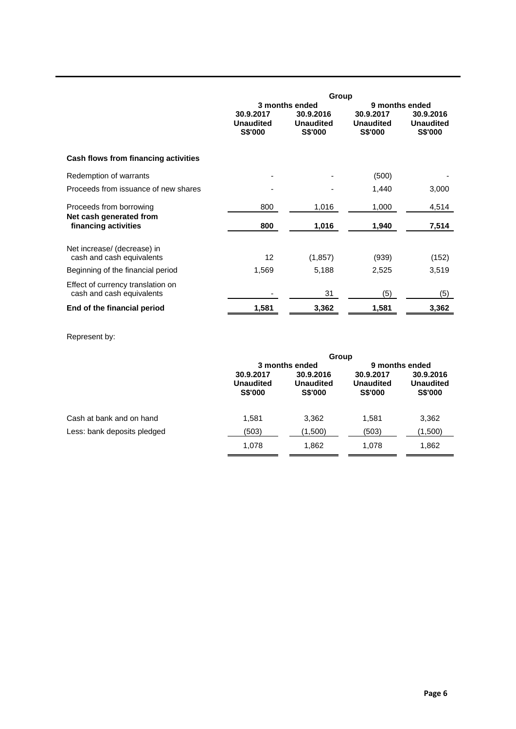|                                                                | Group                                    |                                          |                                          |                                          |  |  |
|----------------------------------------------------------------|------------------------------------------|------------------------------------------|------------------------------------------|------------------------------------------|--|--|
|                                                                |                                          | 3 months ended                           | 9 months ended                           |                                          |  |  |
|                                                                | 30.9.2017<br><b>Unaudited</b><br>S\$'000 | 30.9.2016<br><b>Unaudited</b><br>S\$'000 | 30.9.2017<br><b>Unaudited</b><br>S\$'000 | 30.9.2016<br><b>Unaudited</b><br>S\$'000 |  |  |
| Cash flows from financing activities                           |                                          |                                          |                                          |                                          |  |  |
| Redemption of warrants                                         |                                          |                                          | (500)                                    |                                          |  |  |
| Proceeds from issuance of new shares                           |                                          |                                          | 1,440                                    | 3,000                                    |  |  |
| Proceeds from borrowing                                        | 800                                      | 1,016                                    | 1,000                                    | 4,514                                    |  |  |
| Net cash generated from<br>financing activities                | 800                                      | 1,016                                    | 1,940                                    | 7,514                                    |  |  |
| Net increase/ (decrease) in                                    |                                          |                                          |                                          |                                          |  |  |
| cash and cash equivalents                                      | 12 <sup>2</sup>                          | (1, 857)                                 | (939)                                    | (152)                                    |  |  |
| Beginning of the financial period                              | 1,569                                    | 5,188                                    | 2,525                                    | 3,519                                    |  |  |
| Effect of currency translation on<br>cash and cash equivalents |                                          | 31                                       | (5)                                      | (5)                                      |  |  |
| End of the financial period                                    | 1,581                                    | 3,362                                    | 1,581                                    | 3,362                                    |  |  |

## Represent by:

|                             |                                                 | Group                                           |                                                 |                                                 |  |  |
|-----------------------------|-------------------------------------------------|-------------------------------------------------|-------------------------------------------------|-------------------------------------------------|--|--|
|                             |                                                 | 3 months ended                                  | 9 months ended                                  |                                                 |  |  |
|                             | 30.9.2017<br><b>Unaudited</b><br><b>S\$'000</b> | 30.9.2016<br><b>Unaudited</b><br><b>S\$'000</b> | 30.9.2017<br><b>Unaudited</b><br><b>S\$'000</b> | 30.9.2016<br><b>Unaudited</b><br><b>S\$'000</b> |  |  |
| Cash at bank and on hand    | 1,581                                           | 3,362                                           | 1,581                                           | 3,362                                           |  |  |
| Less: bank deposits pledged | (503)                                           | (1,500)                                         | (503)                                           | (1,500)                                         |  |  |
|                             | 1,078                                           | 1,862                                           | 1.078                                           | 1,862                                           |  |  |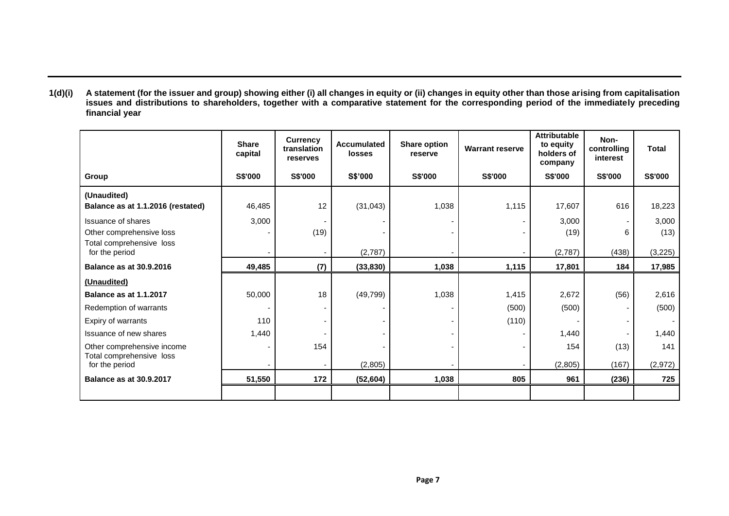**1(d)(i) A statement (for the issuer and group) showing either (i) all changes in equity or (ii) changes in equity other than those arising from capitalisation issues and distributions to shareholders, together with a comparative statement for the corresponding period of the immediately preceding financial year**

|                                            | <b>Share</b><br>capital | <b>Currency</b><br>translation<br>reserves | <b>Accumulated</b><br><b>losses</b> | <b>Share option</b><br>reserve | <b>Warrant reserve</b> | <b>Attributable</b><br>to equity<br>holders of<br>company | Non-<br>controlling<br>interest | <b>Total</b> |
|--------------------------------------------|-------------------------|--------------------------------------------|-------------------------------------|--------------------------------|------------------------|-----------------------------------------------------------|---------------------------------|--------------|
| Group                                      | S\$'000                 | <b>S\$'000</b>                             | S\$'000                             | <b>S\$'000</b>                 | S\$'000                | <b>S\$'000</b>                                            | <b>S\$'000</b>                  | S\$'000      |
| (Unaudited)                                |                         |                                            |                                     |                                |                        |                                                           |                                 |              |
| Balance as at 1.1.2016 (restated)          | 46,485                  | 12                                         | (31, 043)                           | 1,038                          | 1,115                  | 17,607                                                    | 616                             | 18,223       |
| Issuance of shares                         | 3,000                   |                                            |                                     |                                |                        | 3,000                                                     |                                 | 3,000        |
| Other comprehensive loss                   |                         | (19)                                       |                                     |                                |                        | (19)                                                      | 6                               | (13)         |
| Total comprehensive loss<br>for the period |                         |                                            | (2,787)                             |                                |                        | (2,787)                                                   | (438)                           | (3,225)      |
| <b>Balance as at 30.9.2016</b>             | 49,485                  | (7)                                        | (33, 830)                           | 1,038                          | 1,115                  | 17,801                                                    | 184                             | 17,985       |
| (Unaudited)                                |                         |                                            |                                     |                                |                        |                                                           |                                 |              |
| <b>Balance as at 1.1.2017</b>              | 50,000                  | 18                                         | (49, 799)                           | 1,038                          | 1,415                  | 2,672                                                     | (56)                            | 2,616        |
| Redemption of warrants                     |                         |                                            |                                     |                                | (500)                  | (500)                                                     | ٠                               | (500)        |
| Expiry of warrants                         | 110                     |                                            |                                     |                                | (110)                  |                                                           | ۰                               |              |
| Issuance of new shares                     | 1,440                   |                                            |                                     |                                |                        | 1,440                                                     |                                 | 1,440        |
| Other comprehensive income                 |                         | 154                                        |                                     |                                |                        | 154                                                       | (13)                            | 141          |
| Total comprehensive loss<br>for the period |                         |                                            | (2,805)                             |                                |                        | (2,805)                                                   | (167)                           | (2, 972)     |
| <b>Balance as at 30.9.2017</b>             | 51,550                  | 172                                        | (52, 604)                           | 1,038                          | 805                    | 961                                                       | (236)                           | 725          |
|                                            |                         |                                            |                                     |                                |                        |                                                           |                                 |              |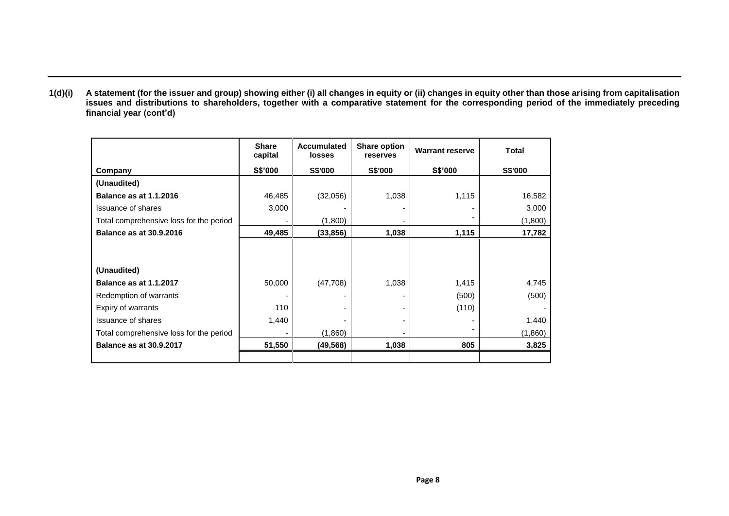**1(d)(i) A statement (for the issuer and group) showing either (i) all changes in equity or (ii) changes in equity other than those arising from capitalisation issues and distributions to shareholders, together with a comparative statement for the corresponding period of the immediately preceding financial year (cont'd)**

|                                         | <b>Share</b><br>capital | <b>Accumulated</b><br>losses | <b>Share option</b><br>reserves | <b>Warrant reserve</b> | <b>Total</b> |
|-----------------------------------------|-------------------------|------------------------------|---------------------------------|------------------------|--------------|
| Company                                 | S\$'000                 | <b>S\$'000</b>               | S\$'000                         | S\$'000                | S\$'000      |
| (Unaudited)                             |                         |                              |                                 |                        |              |
| <b>Balance as at 1.1.2016</b>           | 46,485                  | (32,056)                     | 1,038                           | 1,115                  | 16,582       |
| <b>Issuance of shares</b>               | 3,000                   |                              |                                 |                        | 3,000        |
| Total comprehensive loss for the period |                         | (1,800)                      |                                 |                        | (1,800)      |
| <b>Balance as at 30.9.2016</b>          | 49,485                  | (33, 856)                    | 1,038                           | 1,115                  | 17,782       |
|                                         |                         |                              |                                 |                        |              |
| (Unaudited)                             |                         |                              |                                 |                        |              |
| <b>Balance as at 1.1.2017</b>           | 50,000                  | (47, 708)                    | 1,038                           | 1,415                  | 4,745        |
| Redemption of warrants                  |                         |                              |                                 | (500)                  | (500)        |
| Expiry of warrants                      | 110                     |                              |                                 | (110)                  |              |
| <b>Issuance of shares</b>               | 1,440                   |                              |                                 |                        | 1,440        |
| Total comprehensive loss for the period |                         | (1,860)                      |                                 |                        | (1,860)      |
| <b>Balance as at 30.9.2017</b>          | 51,550                  | (49,568)                     | 1,038                           | 805                    | 3,825        |
|                                         |                         |                              |                                 |                        |              |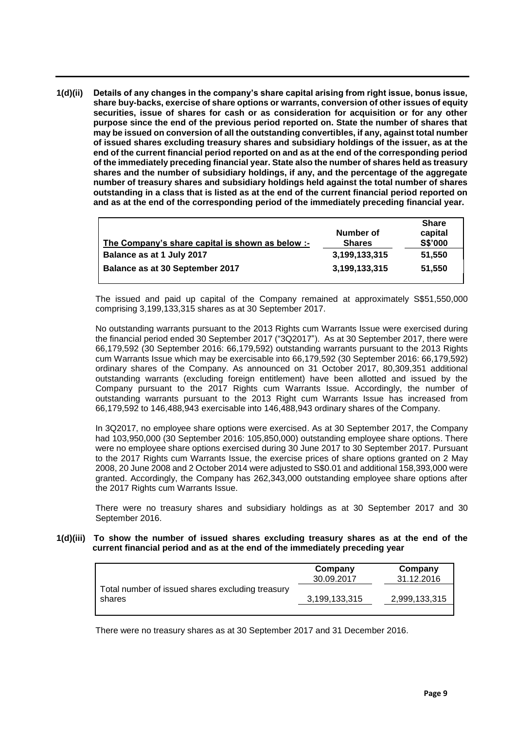**1(d)(ii) Details of any changes in the company's share capital arising from right issue, bonus issue, share buy-backs, exercise of share options or warrants, conversion of other issues of equity securities, issue of shares for cash or as consideration for acquisition or for any other purpose since the end of the previous period reported on. State the number of shares that may be issued on conversion of all the outstanding convertibles, if any, against total number of issued shares excluding treasury shares and subsidiary holdings of the issuer, as at the end of the current financial period reported on and as at the end of the corresponding period of the immediately preceding financial year. State also the number of shares held as treasury shares and the number of subsidiary holdings, if any, and the percentage of the aggregate number of treasury shares and subsidiary holdings held against the total number of shares outstanding in a class that is listed as at the end of the current financial period reported on and as at the end of the corresponding period of the immediately preceding financial year.**

|                                                  |               | <b>Share</b> |
|--------------------------------------------------|---------------|--------------|
|                                                  | Number of     | capital      |
| The Company's share capital is shown as below :- | <b>Shares</b> | S\$'000      |
| Balance as at 1 July 2017                        | 3,199,133,315 | 51,550       |
| Balance as at 30 September 2017                  | 3,199,133,315 | 51.550       |

The issued and paid up capital of the Company remained at approximately S\$51,550,000 comprising 3,199,133,315 shares as at 30 September 2017.

No outstanding warrants pursuant to the 2013 Rights cum Warrants Issue were exercised during the financial period ended 30 September 2017 ("3Q2017"). As at 30 September 2017, there were 66,179,592 (30 September 2016: 66,179,592) outstanding warrants pursuant to the 2013 Rights cum Warrants Issue which may be exercisable into 66,179,592 (30 September 2016: 66,179,592) ordinary shares of the Company. As announced on 31 October 2017, 80,309,351 additional outstanding warrants (excluding foreign entitlement) have been allotted and issued by the Company pursuant to the 2017 Rights cum Warrants Issue. Accordingly, the number of outstanding warrants pursuant to the 2013 Right cum Warrants Issue has increased from 66,179,592 to 146,488,943 exercisable into 146,488,943 ordinary shares of the Company.

In 3Q2017, no employee share options were exercised. As at 30 September 2017, the Company had 103,950,000 (30 September 2016: 105,850,000) outstanding employee share options. There were no employee share options exercised during 30 June 2017 to 30 September 2017. Pursuant to the 2017 Rights cum Warrants Issue, the exercise prices of share options granted on 2 May 2008, 20 June 2008 and 2 October 2014 were adjusted to S\$0.01 and additional 158,393,000 were granted. Accordingly, the Company has 262,343,000 outstanding employee share options after the 2017 Rights cum Warrants Issue.

There were no treasury shares and subsidiary holdings as at 30 September 2017 and 30 September 2016.

**1(d)(iii) To show the number of issued shares excluding treasury shares as at the end of the current financial period and as at the end of the immediately preceding year**

|                                                            | Company<br>30.09.2017 | Company<br>31.12.2016 |
|------------------------------------------------------------|-----------------------|-----------------------|
| Total number of issued shares excluding treasury<br>shares | 3,199,133,315         | 2,999,133,315         |
|                                                            |                       |                       |

There were no treasury shares as at 30 September 2017 and 31 December 2016.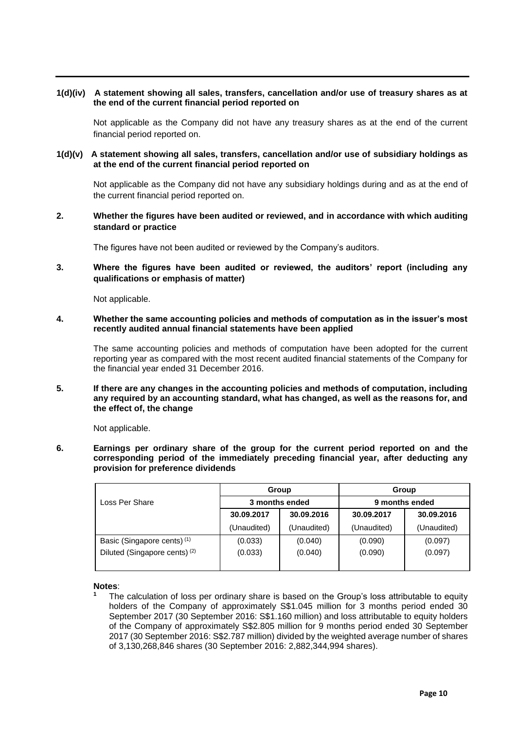#### **1(d)(iv) A statement showing all sales, transfers, cancellation and/or use of treasury shares as at the end of the current financial period reported on**

Not applicable as the Company did not have any treasury shares as at the end of the current financial period reported on.

### **1(d)(v) A statement showing all sales, transfers, cancellation and/or use of subsidiary holdings as at the end of the current financial period reported on**

Not applicable as the Company did not have any subsidiary holdings during and as at the end of the current financial period reported on.

## **2. Whether the figures have been audited or reviewed, and in accordance with which auditing standard or practice**

The figures have not been audited or reviewed by the Company's auditors.

**3. Where the figures have been audited or reviewed, the auditors' report (including any qualifications or emphasis of matter)**

Not applicable.

**4. Whether the same accounting policies and methods of computation as in the issuer's most recently audited annual financial statements have been applied**

The same accounting policies and methods of computation have been adopted for the current reporting year as compared with the most recent audited financial statements of the Company for the financial year ended 31 December 2016.

#### **5. If there are any changes in the accounting policies and methods of computation, including any required by an accounting standard, what has changed, as well as the reasons for, and the effect of, the change**

Not applicable.

**6. Earnings per ordinary share of the group for the current period reported on and the corresponding period of the immediately preceding financial year, after deducting any provision for preference dividends**

| Group<br>3 months ended |             | Group          |             |  |
|-------------------------|-------------|----------------|-------------|--|
|                         |             | 9 months ended |             |  |
| 30.09.2017              | 30.09.2016  | 30.09.2017     | 30.09.2016  |  |
| (Unaudited)             | (Unaudited) | (Unaudited)    | (Unaudited) |  |
| (0.033)                 | (0.040)     | (0.090)        | (0.097)     |  |
| (0.033)                 | (0.040)     | (0.090)        | (0.097)     |  |
|                         |             |                |             |  |

**Notes**:

**<sup>1</sup>** The calculation of loss per ordinary share is based on the Group's loss attributable to equity holders of the Company of approximately S\$1.045 million for 3 months period ended 30 September 2017 (30 September 2016: S\$1.160 million) and loss attributable to equity holders of the Company of approximately S\$2.805 million for 9 months period ended 30 September 2017 (30 September 2016: S\$2.787 million) divided by the weighted average number of shares of 3,130,268,846 shares (30 September 2016: 2,882,344,994 shares).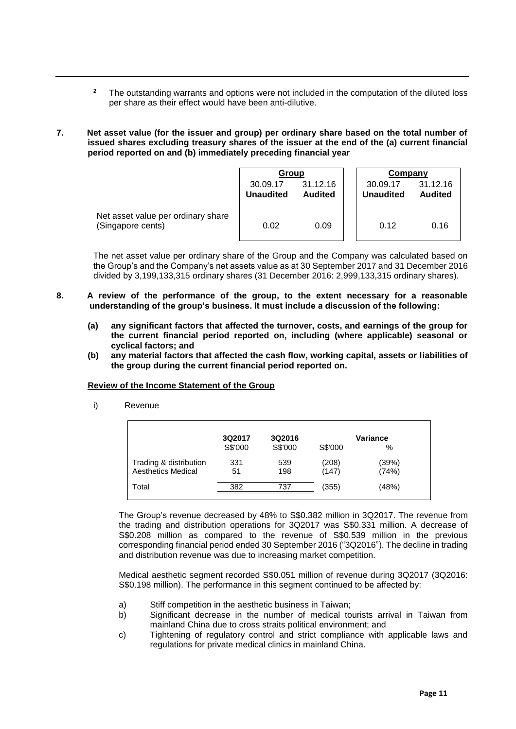- <sup>2</sup> The outstanding warrants and options were not included in the computation of the diluted loss per share as their effect would have been anti-dilutive.
- **7. Net asset value (for the issuer and group) per ordinary share based on the total number of issued shares excluding treasury shares of the issuer at the end of the (a) current financial period reported on and (b) immediately preceding financial year**

|                                                         | Group                        |                            | Company                      |                            |
|---------------------------------------------------------|------------------------------|----------------------------|------------------------------|----------------------------|
|                                                         | 30.09.17<br><b>Unaudited</b> | 31.12.16<br><b>Audited</b> | 30.09.17<br><b>Unaudited</b> | 31.12.16<br><b>Audited</b> |
| Net asset value per ordinary share<br>(Singapore cents) | 0.02                         | 0.09                       | 0.12                         | 0.16                       |

The net asset value per ordinary share of the Group and the Company was calculated based on the Group's and the Company's net assets value as at 30 September 2017 and 31 December 2016 divided by 3,199,133,315 ordinary shares (31 December 2016: 2,999,133,315 ordinary shares).

- **8. A review of the performance of the group, to the extent necessary for a reasonable understanding of the group's business. It must include a discussion of the following:**
	- **(a) any significant factors that affected the turnover, costs, and earnings of the group for the current financial period reported on, including (where applicable) seasonal or cyclical factors; and**
	- **(b) any material factors that affected the cash flow, working capital, assets or liabilities of the group during the current financial period reported on.**

#### **Review of the Income Statement of the Group**

i) Revenue

|                           | 3Q2017  | 3Q2016  |         | Variance |  |
|---------------------------|---------|---------|---------|----------|--|
|                           | S\$'000 | S\$'000 | S\$'000 | %        |  |
| Trading & distribution    | 331     | 539     | (208)   | (39%)    |  |
| <b>Aesthetics Medical</b> | 51      | 198     | (147)   | (74%)    |  |
| Total                     | 382     | 737     | (355)   | (48%)    |  |
|                           |         |         |         |          |  |

The Group's revenue decreased by 48% to S\$0.382 million in 3Q2017. The revenue from the trading and distribution operations for 3Q2017 was S\$0.331 million. A decrease of S\$0.208 million as compared to the revenue of S\$0.539 million in the previous corresponding financial period ended 30 September 2016 ("3Q2016"). The decline in trading and distribution revenue was due to increasing market competition.

Medical aesthetic segment recorded S\$0.051 million of revenue during 3Q2017 (3Q2016: S\$0.198 million). The performance in this segment continued to be affected by:

- a) Stiff competition in the aesthetic business in Taiwan;
- b) Significant decrease in the number of medical tourists arrival in Taiwan from mainland China due to cross straits political environment; and
- c) Tightening of regulatory control and strict compliance with applicable laws and regulations for private medical clinics in mainland China.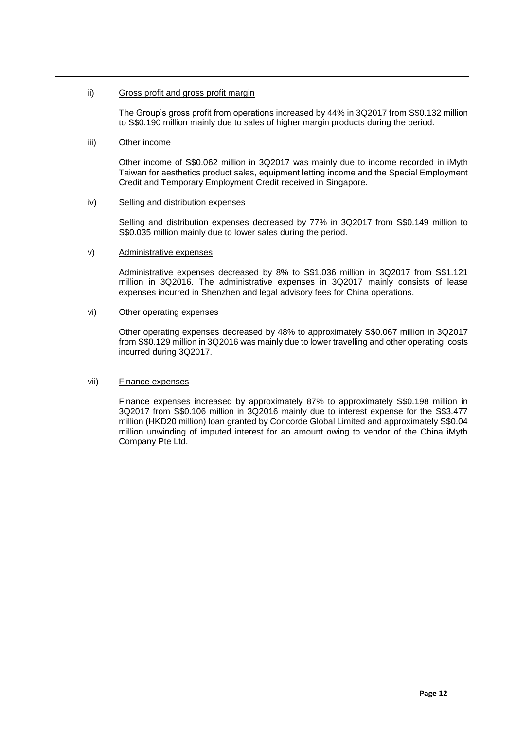### ii) Gross profit and gross profit margin

The Group's gross profit from operations increased by 44% in 3Q2017 from S\$0.132 million to S\$0.190 million mainly due to sales of higher margin products during the period.

## iii) Other income

Other income of S\$0.062 million in 3Q2017 was mainly due to income recorded in iMyth Taiwan for aesthetics product sales, equipment letting income and the Special Employment Credit and Temporary Employment Credit received in Singapore.

#### iv) Selling and distribution expenses

Selling and distribution expenses decreased by 77% in 3Q2017 from S\$0.149 million to S\$0.035 million mainly due to lower sales during the period.

## v) Administrative expenses

Administrative expenses decreased by 8% to S\$1.036 million in 3Q2017 from S\$1.121 million in 3Q2016. The administrative expenses in 3Q2017 mainly consists of lease expenses incurred in Shenzhen and legal advisory fees for China operations.

## vi) Other operating expenses

Other operating expenses decreased by 48% to approximately S\$0.067 million in 3Q2017 from S\$0.129 million in 3Q2016 was mainly due to lower travelling and other operating costs incurred during 3Q2017.

#### vii) Finance expenses

Finance expenses increased by approximately 87% to approximately S\$0.198 million in 3Q2017 from S\$0.106 million in 3Q2016 mainly due to interest expense for the S\$3.477 million (HKD20 million) loan granted by Concorde Global Limited and approximately S\$0.04 million unwinding of imputed interest for an amount owing to vendor of the China iMyth Company Pte Ltd.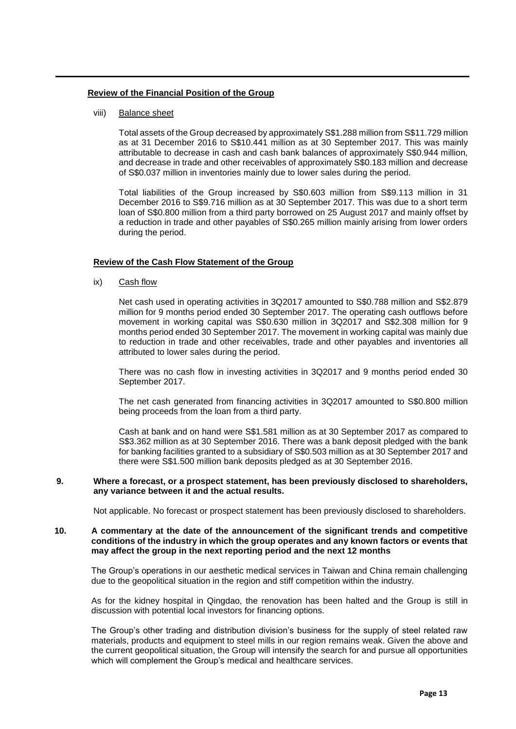#### **Review of the Financial Position of the Group**

### viii) Balance sheet

Total assets of the Group decreased by approximately S\$1.288 million from S\$11.729 million as at 31 December 2016 to S\$10.441 million as at 30 September 2017. This was mainly attributable to decrease in cash and cash bank balances of approximately S\$0.944 million, and decrease in trade and other receivables of approximately S\$0.183 million and decrease of S\$0.037 million in inventories mainly due to lower sales during the period.

Total liabilities of the Group increased by S\$0.603 million from S\$9.113 million in 31 December 2016 to S\$9.716 million as at 30 September 2017. This was due to a short term loan of S\$0.800 million from a third party borrowed on 25 August 2017 and mainly offset by a reduction in trade and other payables of S\$0.265 million mainly arising from lower orders during the period.

## **Review of the Cash Flow Statement of the Group**

ix) Cash flow

Net cash used in operating activities in 3Q2017 amounted to S\$0.788 million and S\$2.879 million for 9 months period ended 30 September 2017. The operating cash outflows before movement in working capital was S\$0.630 million in 3Q2017 and S\$2.308 million for 9 months period ended 30 September 2017. The movement in working capital was mainly due to reduction in trade and other receivables, trade and other payables and inventories all attributed to lower sales during the period.

There was no cash flow in investing activities in 3Q2017 and 9 months period ended 30 September 2017.

The net cash generated from financing activities in 3Q2017 amounted to S\$0.800 million being proceeds from the loan from a third party.

Cash at bank and on hand were S\$1.581 million as at 30 September 2017 as compared to S\$3.362 million as at 30 September 2016. There was a bank deposit pledged with the bank for banking facilities granted to a subsidiary of S\$0.503 million as at 30 September 2017 and there were S\$1.500 million bank deposits pledged as at 30 September 2016.

#### **9. Where a forecast, or a prospect statement, has been previously disclosed to shareholders, any variance between it and the actual results.**

Not applicable. No forecast or prospect statement has been previously disclosed to shareholders.

### **10. A commentary at the date of the announcement of the significant trends and competitive conditions of the industry in which the group operates and any known factors or events that may affect the group in the next reporting period and the next 12 months**

The Group's operations in our aesthetic medical services in Taiwan and China remain challenging due to the geopolitical situation in the region and stiff competition within the industry.

As for the kidney hospital in Qingdao, the renovation has been halted and the Group is still in discussion with potential local investors for financing options.

The Group's other trading and distribution division's business for the supply of steel related raw materials, products and equipment to steel mills in our region remains weak. Given the above and the current geopolitical situation, the Group will intensify the search for and pursue all opportunities which will complement the Group's medical and healthcare services.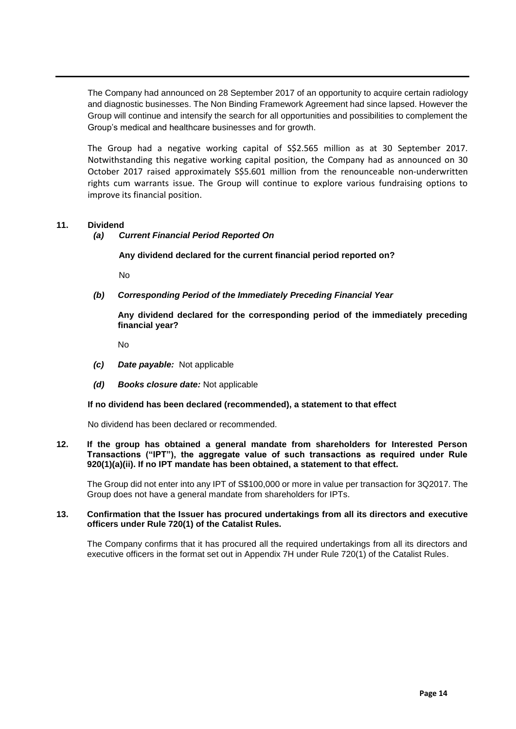The Company had announced on 28 September 2017 of an opportunity to acquire certain radiology and diagnostic businesses. The Non Binding Framework Agreement had since lapsed. However the Group will continue and intensify the search for all opportunities and possibilities to complement the Group's medical and healthcare businesses and for growth.

The Group had a negative working capital of S\$2.565 million as at 30 September 2017. Notwithstanding this negative working capital position, the Company had as announced on 30 October 2017 raised approximately S\$5.601 million from the renounceable non-underwritten rights cum warrants issue. The Group will continue to explore various fundraising options to improve its financial position.

## **11. Dividend**

## *(a) Current Financial Period Reported On*

**Any dividend declared for the current financial period reported on?** 

No

*(b) Corresponding Period of the Immediately Preceding Financial Year*

**Any dividend declared for the corresponding period of the immediately preceding financial year?** 

No

- *(c) Date payable:* Not applicable
- *(d) Books closure date:* Not applicable

#### **If no dividend has been declared (recommended), a statement to that effect**

No dividend has been declared or recommended.

#### **12. If the group has obtained a general mandate from shareholders for Interested Person Transactions ("IPT"), the aggregate value of such transactions as required under Rule 920(1)(a)(ii). If no IPT mandate has been obtained, a statement to that effect.**

The Group did not enter into any IPT of S\$100,000 or more in value per transaction for 3Q2017. The Group does not have a general mandate from shareholders for IPTs.

#### **13. Confirmation that the Issuer has procured undertakings from all its directors and executive officers under Rule 720(1) of the Catalist Rules.**

The Company confirms that it has procured all the required undertakings from all its directors and executive officers in the format set out in Appendix 7H under Rule 720(1) of the Catalist Rules.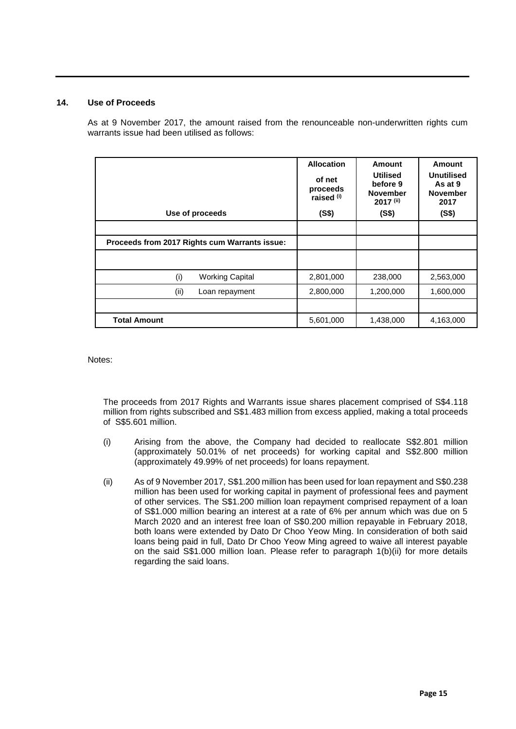## **14. Use of Proceeds**

As at 9 November 2017, the amount raised from the renounceable non-underwritten rights cum warrants issue had been utilised as follows:

| Use of proceeds                               | <b>Allocation</b><br>of net<br>proceeds<br>raised <sup>(i)</sup><br>(S\$) | Amount<br><b>Utilised</b><br>before 9<br><b>November</b><br>2017 (ii)<br>(S\$) | Amount<br><b>Unutilised</b><br>As at 9<br><b>November</b><br>2017<br>(S\$) |
|-----------------------------------------------|---------------------------------------------------------------------------|--------------------------------------------------------------------------------|----------------------------------------------------------------------------|
|                                               |                                                                           |                                                                                |                                                                            |
| Proceeds from 2017 Rights cum Warrants issue: |                                                                           |                                                                                |                                                                            |
|                                               |                                                                           |                                                                                |                                                                            |
| (i)<br><b>Working Capital</b>                 | 2,801,000                                                                 | 238,000                                                                        | 2,563,000                                                                  |
| (ii)<br>Loan repayment                        | 2,800,000                                                                 | 1,200,000                                                                      | 1,600,000                                                                  |
|                                               |                                                                           |                                                                                |                                                                            |
| <b>Total Amount</b>                           | 5,601,000                                                                 | 1,438,000                                                                      | 4,163,000                                                                  |

Notes:

The proceeds from 2017 Rights and Warrants issue shares placement comprised of S\$4.118 million from rights subscribed and S\$1.483 million from excess applied, making a total proceeds of S\$5.601 million.

- (i) Arising from the above, the Company had decided to reallocate S\$2.801 million (approximately 50.01% of net proceeds) for working capital and S\$2.800 million (approximately 49.99% of net proceeds) for loans repayment.
- (ii) As of 9 November 2017, S\$1.200 million has been used for loan repayment and S\$0.238 million has been used for working capital in payment of professional fees and payment of other services. The S\$1.200 million loan repayment comprised repayment of a loan of S\$1.000 million bearing an interest at a rate of 6% per annum which was due on 5 March 2020 and an interest free loan of S\$0.200 million repayable in February 2018, both loans were extended by Dato Dr Choo Yeow Ming. In consideration of both said loans being paid in full, Dato Dr Choo Yeow Ming agreed to waive all interest payable on the said S\$1.000 million loan. Please refer to paragraph 1(b)(ii) for more details regarding the said loans.